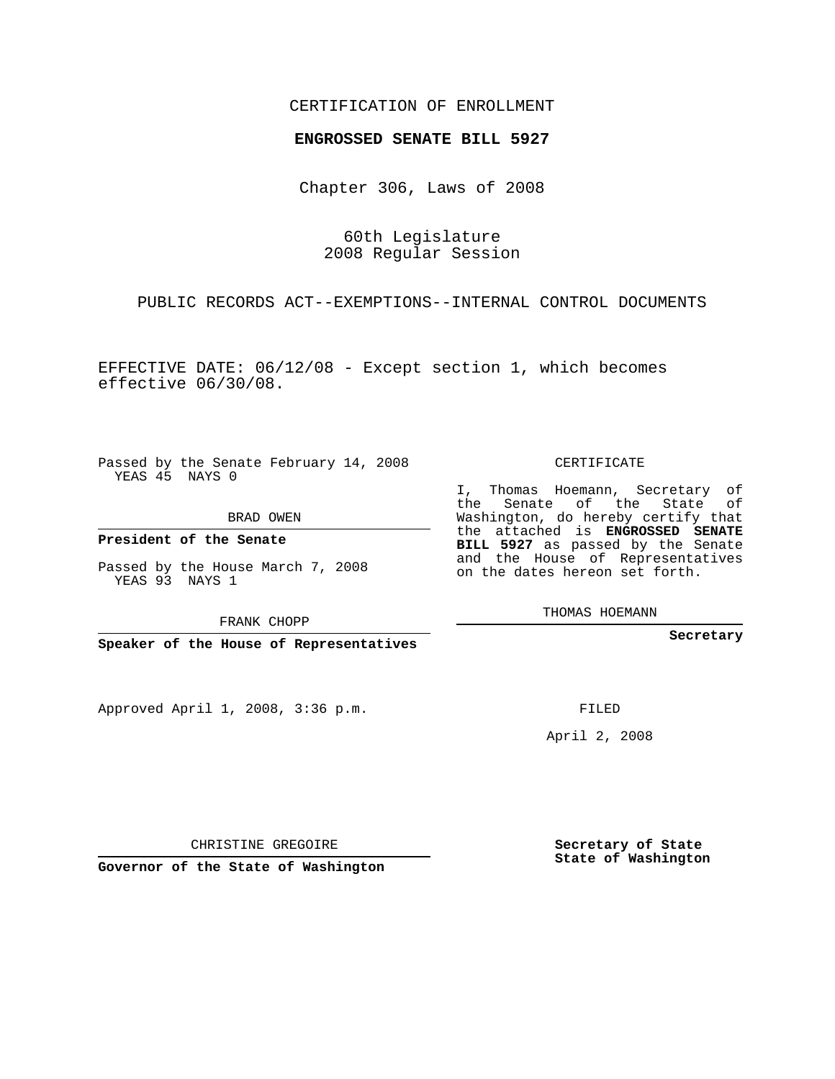## CERTIFICATION OF ENROLLMENT

## **ENGROSSED SENATE BILL 5927**

Chapter 306, Laws of 2008

60th Legislature 2008 Regular Session

PUBLIC RECORDS ACT--EXEMPTIONS--INTERNAL CONTROL DOCUMENTS

EFFECTIVE DATE: 06/12/08 - Except section 1, which becomes effective 06/30/08.

Passed by the Senate February 14, 2008 YEAS 45 NAYS 0

BRAD OWEN

**President of the Senate**

Passed by the House March 7, 2008 YEAS 93 NAYS 1

FRANK CHOPP

**Speaker of the House of Representatives**

Approved April 1, 2008, 3:36 p.m.

CERTIFICATE

I, Thomas Hoemann, Secretary of the Senate of the State of Washington, do hereby certify that the attached is **ENGROSSED SENATE BILL 5927** as passed by the Senate and the House of Representatives on the dates hereon set forth.

THOMAS HOEMANN

**Secretary**

FILED

April 2, 2008

**Secretary of State State of Washington**

CHRISTINE GREGOIRE

**Governor of the State of Washington**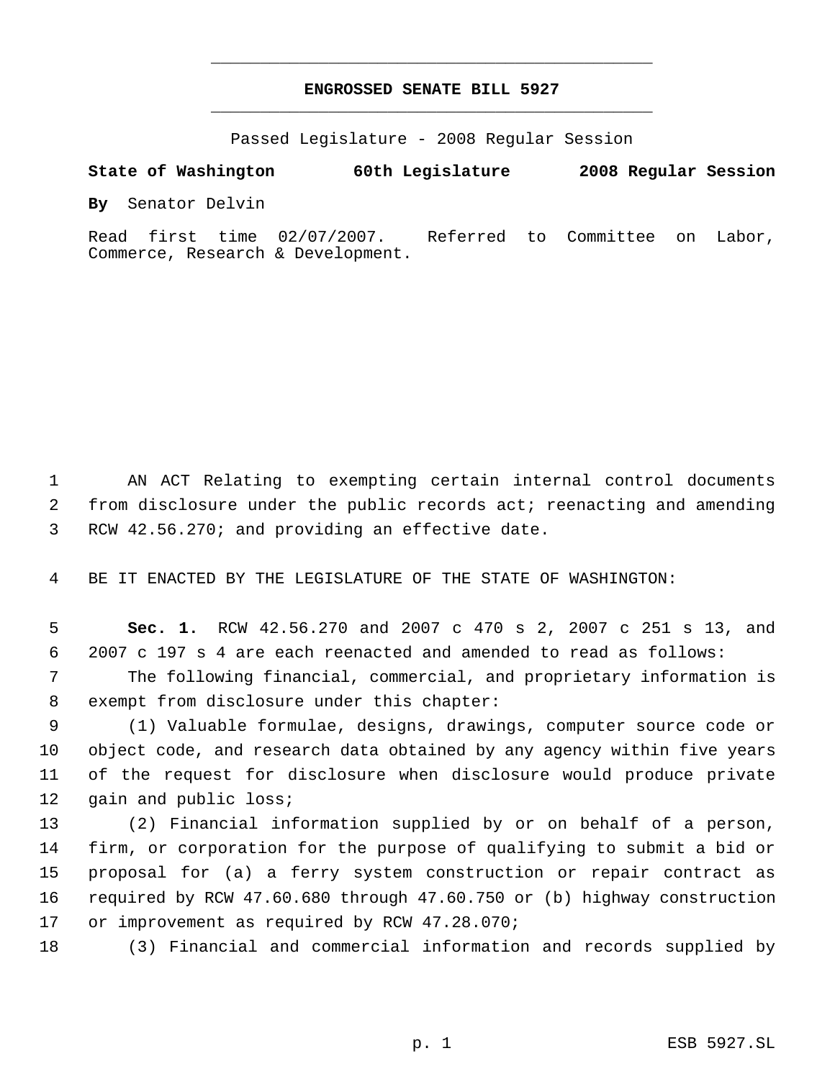## **ENGROSSED SENATE BILL 5927** \_\_\_\_\_\_\_\_\_\_\_\_\_\_\_\_\_\_\_\_\_\_\_\_\_\_\_\_\_\_\_\_\_\_\_\_\_\_\_\_\_\_\_\_\_

\_\_\_\_\_\_\_\_\_\_\_\_\_\_\_\_\_\_\_\_\_\_\_\_\_\_\_\_\_\_\_\_\_\_\_\_\_\_\_\_\_\_\_\_\_

Passed Legislature - 2008 Regular Session

**State of Washington 60th Legislature 2008 Regular Session**

**By** Senator Delvin

Read first time 02/07/2007. Referred to Committee on Labor, Commerce, Research & Development.

 AN ACT Relating to exempting certain internal control documents from disclosure under the public records act; reenacting and amending RCW 42.56.270; and providing an effective date.

BE IT ENACTED BY THE LEGISLATURE OF THE STATE OF WASHINGTON:

 **Sec. 1.** RCW 42.56.270 and 2007 c 470 s 2, 2007 c 251 s 13, and 2007 c 197 s 4 are each reenacted and amended to read as follows:

 The following financial, commercial, and proprietary information is exempt from disclosure under this chapter:

 (1) Valuable formulae, designs, drawings, computer source code or object code, and research data obtained by any agency within five years of the request for disclosure when disclosure would produce private 12 gain and public loss;

 (2) Financial information supplied by or on behalf of a person, firm, or corporation for the purpose of qualifying to submit a bid or proposal for (a) a ferry system construction or repair contract as required by RCW 47.60.680 through 47.60.750 or (b) highway construction or improvement as required by RCW 47.28.070;

(3) Financial and commercial information and records supplied by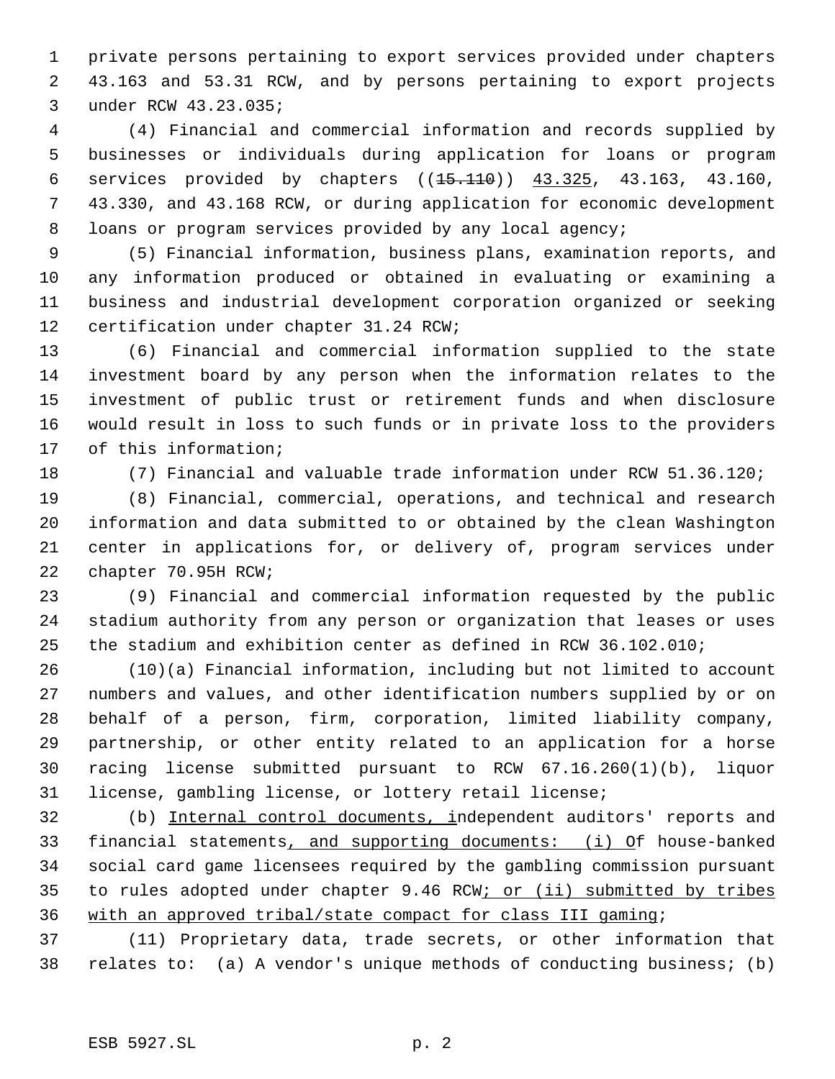private persons pertaining to export services provided under chapters 43.163 and 53.31 RCW, and by persons pertaining to export projects under RCW 43.23.035;

 (4) Financial and commercial information and records supplied by businesses or individuals during application for loans or program services provided by chapters ((15.110)) 43.325, 43.163, 43.160, 43.330, and 43.168 RCW, or during application for economic development loans or program services provided by any local agency;

 (5) Financial information, business plans, examination reports, and any information produced or obtained in evaluating or examining a business and industrial development corporation organized or seeking certification under chapter 31.24 RCW;

 (6) Financial and commercial information supplied to the state investment board by any person when the information relates to the investment of public trust or retirement funds and when disclosure would result in loss to such funds or in private loss to the providers of this information;

(7) Financial and valuable trade information under RCW 51.36.120;

 (8) Financial, commercial, operations, and technical and research information and data submitted to or obtained by the clean Washington center in applications for, or delivery of, program services under chapter 70.95H RCW;

 (9) Financial and commercial information requested by the public stadium authority from any person or organization that leases or uses the stadium and exhibition center as defined in RCW 36.102.010;

 (10)(a) Financial information, including but not limited to account numbers and values, and other identification numbers supplied by or on behalf of a person, firm, corporation, limited liability company, partnership, or other entity related to an application for a horse racing license submitted pursuant to RCW 67.16.260(1)(b), liquor license, gambling license, or lottery retail license;

 (b) Internal control documents, independent auditors' reports and financial statements, and supporting documents: (i) Of house-banked social card game licensees required by the gambling commission pursuant 35 to rules adopted under chapter 9.46 RCW; or (ii) submitted by tribes with an approved tribal/state compact for class III gaming;

 (11) Proprietary data, trade secrets, or other information that relates to: (a) A vendor's unique methods of conducting business; (b)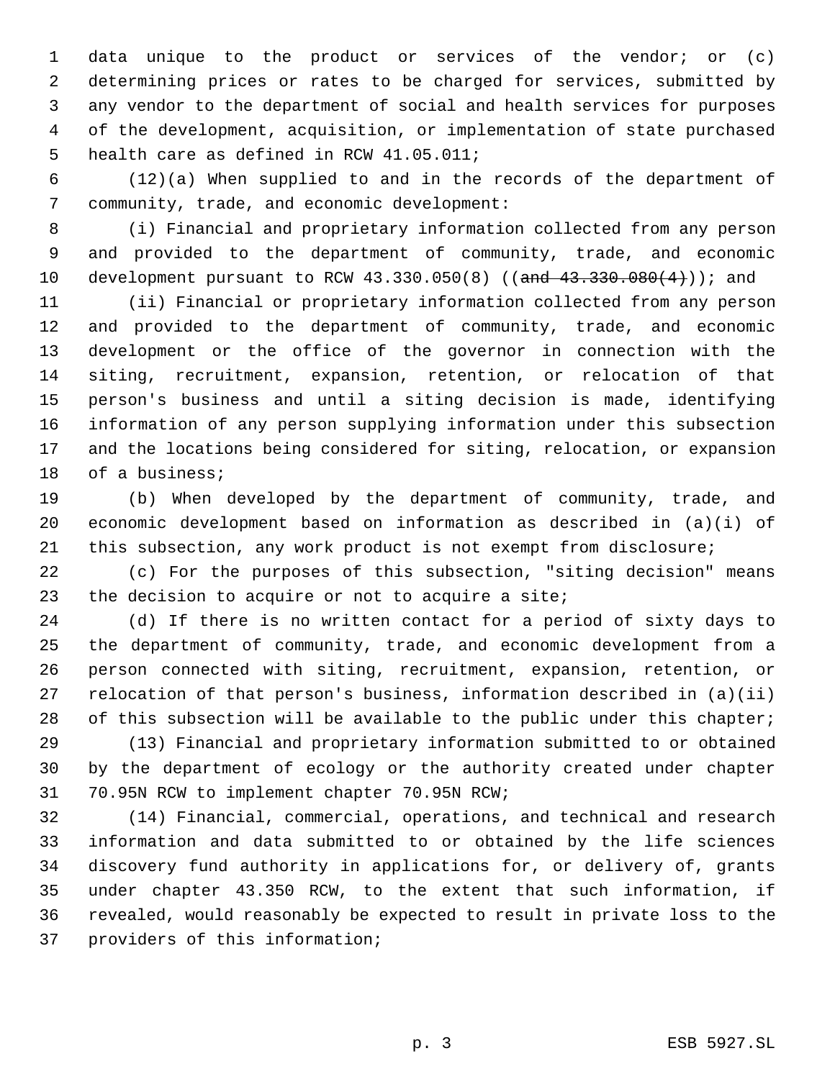data unique to the product or services of the vendor; or (c) determining prices or rates to be charged for services, submitted by any vendor to the department of social and health services for purposes of the development, acquisition, or implementation of state purchased health care as defined in RCW 41.05.011;

 (12)(a) When supplied to and in the records of the department of community, trade, and economic development:

 (i) Financial and proprietary information collected from any person and provided to the department of community, trade, and economic 10 development pursuant to RCW 43.330.050(8) ((and 43.330.080(4))); and

 (ii) Financial or proprietary information collected from any person and provided to the department of community, trade, and economic development or the office of the governor in connection with the siting, recruitment, expansion, retention, or relocation of that person's business and until a siting decision is made, identifying information of any person supplying information under this subsection and the locations being considered for siting, relocation, or expansion 18 of a business;

 (b) When developed by the department of community, trade, and economic development based on information as described in (a)(i) of this subsection, any work product is not exempt from disclosure;

 (c) For the purposes of this subsection, "siting decision" means 23 the decision to acquire or not to acquire a site;

 (d) If there is no written contact for a period of sixty days to the department of community, trade, and economic development from a person connected with siting, recruitment, expansion, retention, or relocation of that person's business, information described in (a)(ii) 28 of this subsection will be available to the public under this chapter;

 (13) Financial and proprietary information submitted to or obtained by the department of ecology or the authority created under chapter 70.95N RCW to implement chapter 70.95N RCW;

 (14) Financial, commercial, operations, and technical and research information and data submitted to or obtained by the life sciences discovery fund authority in applications for, or delivery of, grants under chapter 43.350 RCW, to the extent that such information, if revealed, would reasonably be expected to result in private loss to the providers of this information;